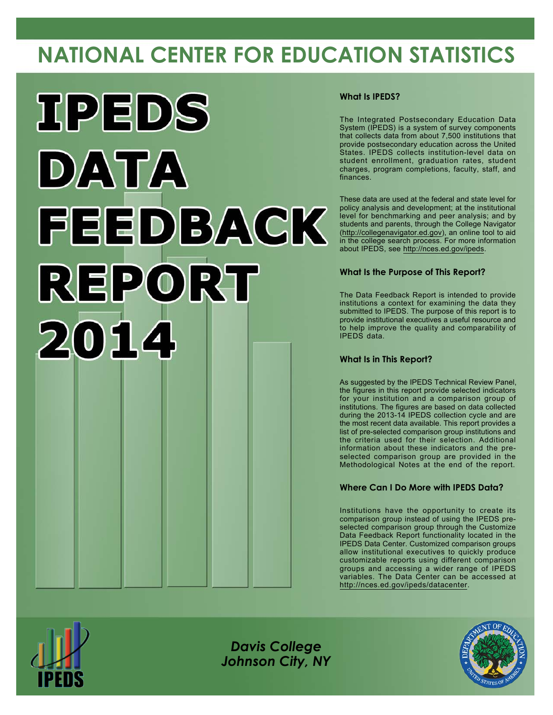# **NATIONAL CENTER FOR EDUCATION STATISTICS**



### **What Is IPEDS?**

The Integrated Postsecondary Education Data System (IPEDS) is a system of survey components that collects data from about 7,500 institutions that provide postsecondary education across the United States. IPEDS collects institution-level data on student enrollment, graduation rates, student charges, program completions, faculty, staff, and finances.

These data are used at the federal and state level for policy analysis and development; at the institutional level for benchmarking and peer analysis; and by students and parents, through the College Navigator [\(http://collegenavigator.ed.gov](http://collegenavigator.ed.gov)), an online tool to aid in the college search process. For more information about IPEDS, see <http://nces.ed.gov/ipeds>.

## **What Is the Purpose of This Report?**

The Data Feedback Report is intended to provide institutions a context for examining the data they submitted to IPEDS. The purpose of this report is to provide institutional executives a useful resource and to help improve the quality and comparability of IPEDS data.

### **What Is in This Report?**

As suggested by the IPEDS Technical Review Panel, the figures in this report provide selected indicators for your institution and a comparison group of institutions. The figures are based on data collected during the 2013-14 IPEDS collection cycle and are the most recent data available. This report provides a list of pre-selected comparison group institutions and the criteria used for their selection. Additional information about these indicators and the preselected comparison group are provided in the Methodological Notes at the end of the report.

## **Where Can I Do More with IPEDS Data?**

Institutions have the opportunity to create its comparison group instead of using the IPEDS preselected comparison group through the Customize Data Feedback Report functionality located in the IPEDS Data Center. Customized comparison groups allow institutional executives to quickly produce customizable reports using different comparison groups and accessing a wider range of IPEDS variables. The Data Center can be accessed at <http://nces.ed.gov/ipeds/datacenter>.



*Davis College Johnson City, NY*

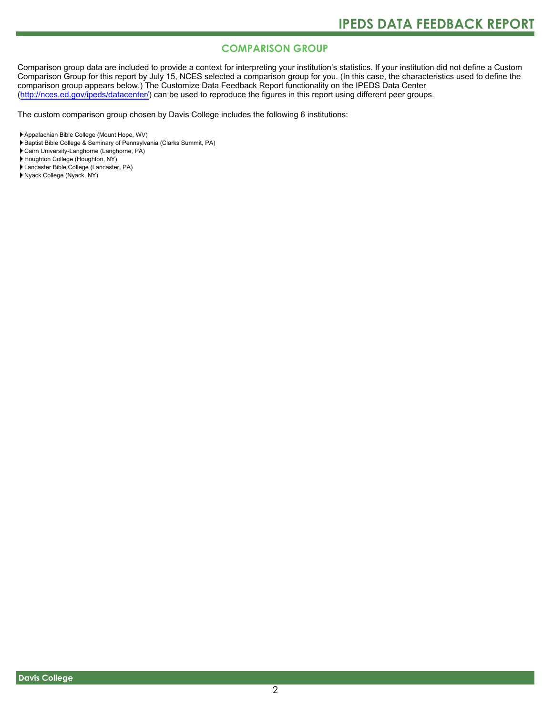# **COMPARISON GROUP**

Comparison group data are included to provide a context for interpreting your institution's statistics. If your institution did not define a Custom Comparison Group for this report by July 15, NCES selected a comparison group for you. (In this case, the characteristics used to define the comparison group appears below.) The Customize Data Feedback Report functionality on the IPEDS Data Center [\(http://nces.ed.gov/ipeds/datacenter/\)](http://nces.ed.gov/ipeds/datacenter/) can be used to reproduce the figures in this report using different peer groups.

The custom comparison group chosen by Davis College includes the following 6 institutions:

Baptist Bible College & Seminary of Pennsylvania (Clarks Summit, PA)

Cairn University-Langhorne (Langhorne, PA)

Houghton College (Houghton, NY)

- Lancaster Bible College (Lancaster, PA)
- Nyack College (Nyack, NY)

Appalachian Bible College (Mount Hope, WV)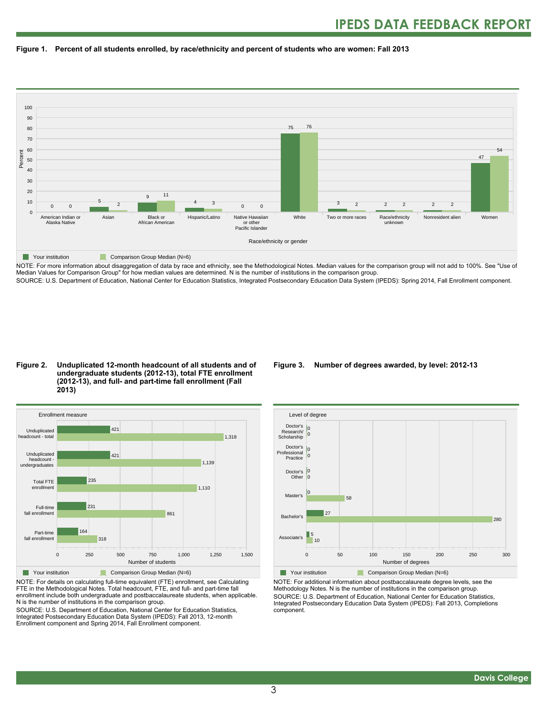



NOTE: For more information about disaggregation of data by race and ethnicity, see the Methodological Notes. Median values for the comparison group will not add to 100%. See "Use of Median Values for Comparison Group" for how median values are determined. N is the number of institutions in the comparison group.

SOURCE: U.S. Department of Education, National Center for Education Statistics, Integrated Postsecondary Education Data System (IPEDS): Spring 2014, Fall Enrollment component.

#### **Figure 2. Unduplicated 12-month headcount of all students and of undergraduate students (2012-13), total FTE enrollment (2012-13), and full- and part-time fall enrollment (Fall 2013)**



NOTE: For details on calculating full-time equivalent (FTE) enrollment, see Calculating FTE in the Methodological Notes. Total headcount, FTE, and full- and part-time fall enrollment include both undergraduate and postbaccalaureate students, when applicable. N is the number of institutions in the comparison group.

SOURCE: U.S. Department of Education, National Center for Education Statistics, Integrated Postsecondary Education Data System (IPEDS): Fall 2013, 12-month Enrollment component and Spring 2014, Fall Enrollment component.

#### **Figure 3. Number of degrees awarded, by level: 2012-13**



NOTE: For additional information about postbaccalaureate degree levels, see the Methodology Notes. N is the number of institutions in the comparison group. SOURCE: U.S. Department of Education, National Center for Education Statistics, Integrated Postsecondary Education Data System (IPEDS): Fall 2013, Completions component.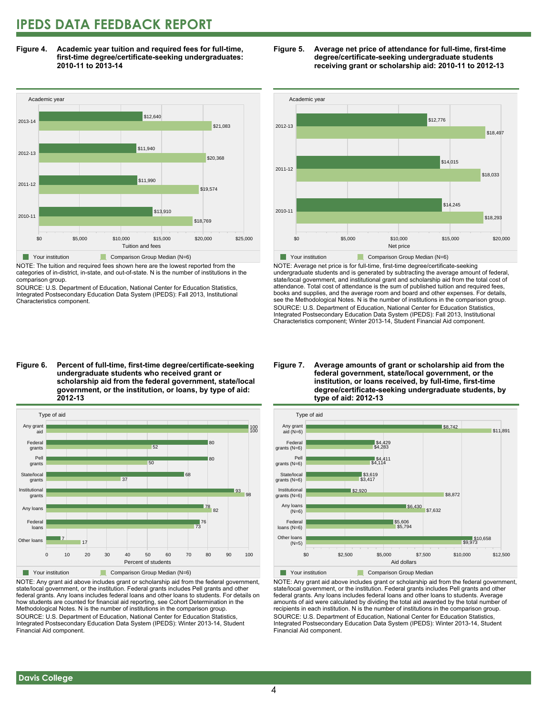# **IPEDS DATA FEEDBACK REPORT**

**Figure 4. Academic year tuition and required fees for full-time, first-time degree/certificate-seeking undergraduates: 2010-11 to 2013-14**



NOTE: The tuition and required fees shown here are the lowest reported from the categories of in-district, in-state, and out-of-state. N is the number of institutions in the comparison group.

SOURCE: U.S. Department of Education, National Center for Education Statistics, Integrated Postsecondary Education Data System (IPEDS): Fall 2013, Institutional Characteristics component.





NOTE: Average net price is for full-time, first-time degree/certificate-seeking undergraduate students and is generated by subtracting the average amount of federal, state/local government, and institutional grant and scholarship aid from the total cost of attendance. Total cost of attendance is the sum of published tuition and required fees, books and supplies, and the average room and board and other expenses. For details, see the Methodological Notes. N is the number of institutions in the comparison group. SOURCE: U.S. Department of Education, National Center for Education Statistics, Integrated Postsecondary Education Data System (IPEDS): Fall 2013, Institutional Characteristics component; Winter 2013-14, Student Financial Aid component.

**Figure 6. Percent of full-time, first-time degree/certificate-seeking undergraduate students who received grant or scholarship aid from the federal government, state/local government, or the institution, or loans, by type of aid: 2012-13**



NOTE: Any grant aid above includes grant or scholarship aid from the federal government, state/local government, or the institution. Federal grants includes Pell grants and other federal grants. Any loans includes federal loans and other loans to students. For details on how students are counted for financial aid reporting, see Cohort Determination in the Methodological Notes. N is the number of institutions in the comparison group. SOURCE: U.S. Department of Education, National Center for Education Statistics, Integrated Postsecondary Education Data System (IPEDS): Winter 2013-14, Student Financial Aid component.

#### **Figure 7. Average amounts of grant or scholarship aid from the federal government, state/local government, or the institution, or loans received, by full-time, first-time degree/certificate-seeking undergraduate students, by type of aid: 2012-13**



NOTE: Any grant aid above includes grant or scholarship aid from the federal government, state/local government, or the institution. Federal grants includes Pell grants and other federal grants. Any loans includes federal loans and other loans to students. Average amounts of aid were calculated by dividing the total aid awarded by the total number of recipients in each institution. N is the number of institutions in the comparison group. SOURCE: U.S. Department of Education, National Center for Education Statistics, Integrated Postsecondary Education Data System (IPEDS): Winter 2013-14, Student Financial Aid component.

 **Davis College**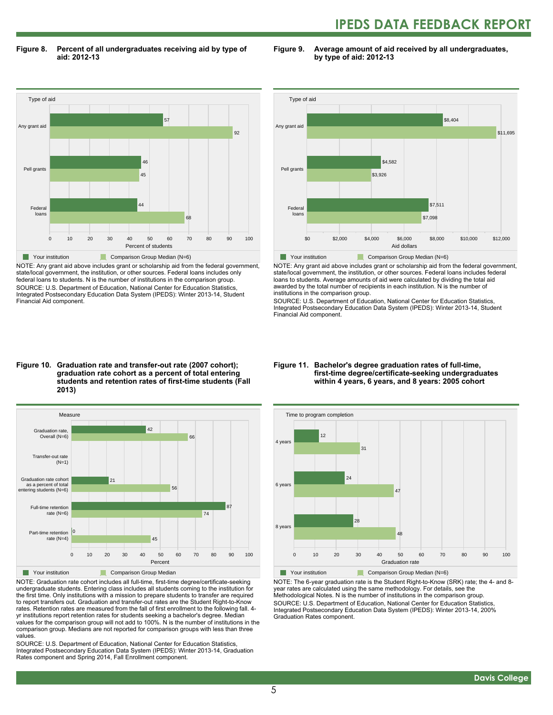# **IPEDS DATA FEEDBACK REPORT**

**Figure 8. Percent of all undergraduates receiving aid by type of aid: 2012-13**

**Figure 9. Average amount of aid received by all undergraduates, by type of aid: 2012-13**



NOTE: Any grant aid above includes grant or scholarship aid from the federal government, state/local government, the institution, or other sources. Federal loans includes only federal loans to students. N is the number of institutions in the comparison group. SOURCE: U.S. Department of Education, National Center for Education Statistics, Integrated Postsecondary Education Data System (IPEDS): Winter 2013-14, Student Financial Aid component.



NOTE: Any grant aid above includes grant or scholarship aid from the federal government, state/local government, the institution, or other sources. Federal loans includes federal loans to students. Average amounts of aid were calculated by dividing the total aid awarded by the total number of recipients in each institution. N is the number of institutions in the comparison group.

SOURCE: U.S. Department of Education, National Center for Education Statistics, Integrated Postsecondary Education Data System (IPEDS): Winter 2013-14, Student Financial Aid component.

#### **Figure 10. Graduation rate and transfer-out rate (2007 cohort); graduation rate cohort as a percent of total entering students and retention rates of first-time students (Fall 2013)**



NOTE: Graduation rate cohort includes all full-time, first-time degree/certificate-seeking undergraduate students. Entering class includes all students coming to the institution for the first time. Only institutions with a mission to prepare students to transfer are required to report transfers out. Graduation and transfer-out rates are the Student Right-to-Know rates. Retention rates are measured from the fall of first enrollment to the following fall. 4 yr institutions report retention rates for students seeking a bachelor's degree. Median values for the comparison group will not add to 100%. N is the number of institutions in the comparison group. Medians are not reported for comparison groups with less than three values.

SOURCE: U.S. Department of Education, National Center for Education Statistics, Integrated Postsecondary Education Data System (IPEDS): Winter 2013-14, Graduation Rates component and Spring 2014, Fall Enrollment component.

#### **Figure 11. Bachelor's degree graduation rates of full-time, first-time degree/certificate-seeking undergraduates within 4 years, 6 years, and 8 years: 2005 cohort**



NOTE: The 6-year graduation rate is the Student Right-to-Know (SRK) rate; the 4- and 8 year rates are calculated using the same methodology. For details, see the Methodological Notes. N is the number of institutions in the comparison group. SOURCE: U.S. Department of Education, National Center for Education Statistics, Integrated Postsecondary Education Data System (IPEDS): Winter 2013-14, 200% Graduation Rates component.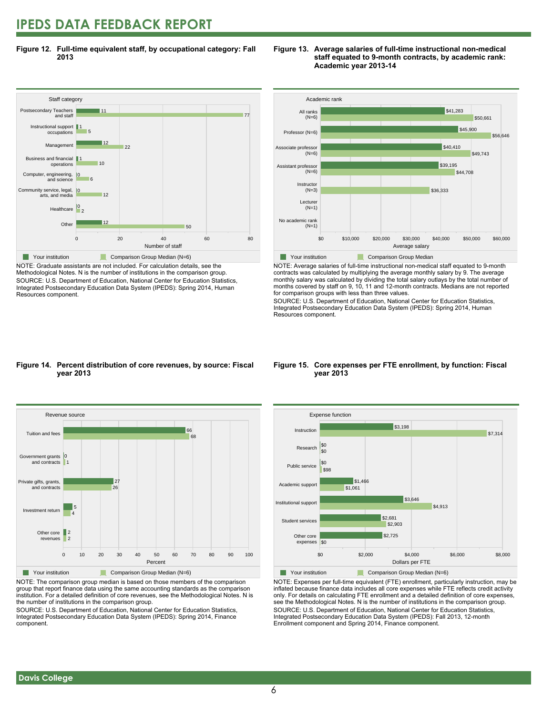# **IPEDS DATA FEEDBACK REPORT**

**Figure 12. Full-time equivalent staff, by occupational category: Fall 2013**



NOTE: Graduate assistants are not included. For calculation details, see the Methodological Notes. N is the number of institutions in the comparison group. SOURCE: U.S. Department of Education, National Center for Education Statistics, Integrated Postsecondary Education Data System (IPEDS): Spring 2014, Human Resources component.





NOTE: Average salaries of full-time instructional non-medical staff equated to 9-month contracts was calculated by multiplying the average monthly salary by 9. The average monthly salary was calculated by dividing the total salary outlays by the total number of months covered by staff on 9, 10, 11 and 12-month contracts. Medians are not reported for comparison groups with less than three values.

SOURCE: U.S. Department of Education, National Center for Education Statistics, Integrated Postsecondary Education Data System (IPEDS): Spring 2014, Human Resources component.

#### **Figure 14. Percent distribution of core revenues, by source: Fiscal year 2013**



NOTE: The comparison group median is based on those members of the comparison group that report finance data using the same accounting standards as the comparison institution. For a detailed definition of core revenues, see the Methodological Notes. N is the number of institutions in the comparison group.

SOURCE: U.S. Department of Education, National Center for Education Statistics, Integrated Postsecondary Education Data System (IPEDS): Spring 2014, Finance component.

#### **Figure 15. Core expenses per FTE enrollment, by function: Fiscal year 2013**



NOTE: Expenses per full-time equivalent (FTE) enrollment, particularly instruction, may be inflated because finance data includes all core expenses while FTE reflects credit activity only. For details on calculating FTE enrollment and a detailed definition of core expenses, see the Methodological Notes. N is the number of institutions in the comparison group. SOURCE: U.S. Department of Education, National Center for Education Statistics, Integrated Postsecondary Education Data System (IPEDS): Fall 2013, 12-month Enrollment component and Spring 2014, Finance component.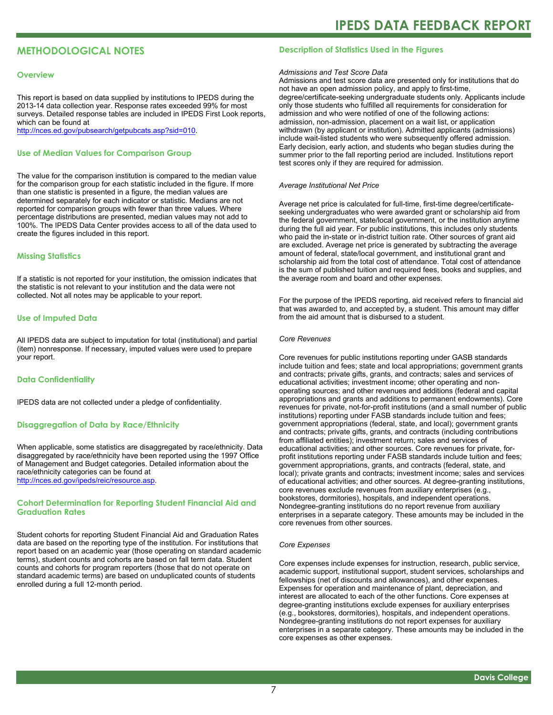# **METHODOLOGICAL NOTES**

#### **Overview**

This report is based on data supplied by institutions to IPEDS during the 2013-14 data collection year. Response rates exceeded 99% for most surveys. Detailed response tables are included in IPEDS First Look reports, which can be found at [http://nces.ed.gov/pubsearch/getpubcats.asp?sid=010.](http://nces.ed.gov/pubsearch/getpubcats.asp?sid=010)

#### **Use of Median Values for Comparison Group**

The value for the comparison institution is compared to the median value for the comparison group for each statistic included in the figure. If more than one statistic is presented in a figure, the median values are determined separately for each indicator or statistic. Medians are not reported for comparison groups with fewer than three values. Where percentage distributions are presented, median values may not add to 100%. The IPEDS Data Center provides access to all of the data used to create the figures included in this report.

#### **Missing Statistics**

If a statistic is not reported for your institution, the omission indicates that the statistic is not relevant to your institution and the data were not collected. Not all notes may be applicable to your report.

#### **Use of Imputed Data**

All IPEDS data are subject to imputation for total (institutional) and partial (item) nonresponse. If necessary, imputed values were used to prepare your report.

#### **Data Confidentiality**

IPEDS data are not collected under a pledge of confidentiality.

#### **Disaggregation of Data by Race/Ethnicity**

When applicable, some statistics are disaggregated by race/ethnicity. Data disaggregated by race/ethnicity have been reported using the 1997 Office of Management and Budget categories. Detailed information about the race/ethnicity categories can be found at <http://nces.ed.gov/ipeds/reic/resource.asp>.

#### **Cohort Determination for Reporting Student Financial Aid and Graduation Rates**

Student cohorts for reporting Student Financial Aid and Graduation Rates data are based on the reporting type of the institution. For institutions that report based on an academic year (those operating on standard academic terms), student counts and cohorts are based on fall term data. Student counts and cohorts for program reporters (those that do not operate on standard academic terms) are based on unduplicated counts of students enrolled during a full 12-month period.

#### **Description of Statistics Used in the Figures**

#### *Admissions and Test Score Data*

Admissions and test score data are presented only for institutions that do not have an open admission policy, and apply to first-time, degree/certificate-seeking undergraduate students only. Applicants include only those students who fulfilled all requirements for consideration for admission and who were notified of one of the following actions: admission, non-admission, placement on a wait list, or application withdrawn (by applicant or institution). Admitted applicants (admissions) include wait-listed students who were subsequently offered admission. Early decision, early action, and students who began studies during the summer prior to the fall reporting period are included. Institutions report test scores only if they are required for admission.

#### *Average Institutional Net Price*

Average net price is calculated for full-time, first-time degree/certificateseeking undergraduates who were awarded grant or scholarship aid from the federal government, state/local government, or the institution anytime during the full aid year. For public institutions, this includes only students who paid the in-state or in-district tuition rate. Other sources of grant aid are excluded. Average net price is generated by subtracting the average amount of federal, state/local government, and institutional grant and scholarship aid from the total cost of attendance. Total cost of attendance is the sum of published tuition and required fees, books and supplies, and the average room and board and other expenses.

For the purpose of the IPEDS reporting, aid received refers to financial aid that was awarded to, and accepted by, a student. This amount may differ from the aid amount that is disbursed to a student.

#### *Core Revenues*

Core revenues for public institutions reporting under GASB standards include tuition and fees; state and local appropriations; government grants and contracts; private gifts, grants, and contracts; sales and services of educational activities; investment income; other operating and nonoperating sources; and other revenues and additions (federal and capital appropriations and grants and additions to permanent endowments). Core revenues for private, not-for-profit institutions (and a small number of public institutions) reporting under FASB standards include tuition and fees; government appropriations (federal, state, and local); government grants and contracts; private gifts, grants, and contracts (including contributions from affiliated entities); investment return; sales and services of educational activities; and other sources. Core revenues for private, forprofit institutions reporting under FASB standards include tuition and fees; government appropriations, grants, and contracts (federal, state, and local); private grants and contracts; investment income; sales and services of educational activities; and other sources. At degree-granting institutions, core revenues exclude revenues from auxiliary enterprises (e.g., bookstores, dormitories), hospitals, and independent operations. Nondegree-granting institutions do no report revenue from auxiliary enterprises in a separate category. These amounts may be included in the core revenues from other sources.

#### *Core Expenses*

Core expenses include expenses for instruction, research, public service, academic support, institutional support, student services, scholarships and fellowships (net of discounts and allowances), and other expenses. Expenses for operation and maintenance of plant, depreciation, and interest are allocated to each of the other functions. Core expenses at degree-granting institutions exclude expenses for auxiliary enterprises (e.g., bookstores, dormitories), hospitals, and independent operations. Nondegree-granting institutions do not report expenses for auxiliary enterprises in a separate category. These amounts may be included in the core expenses as other expenses.